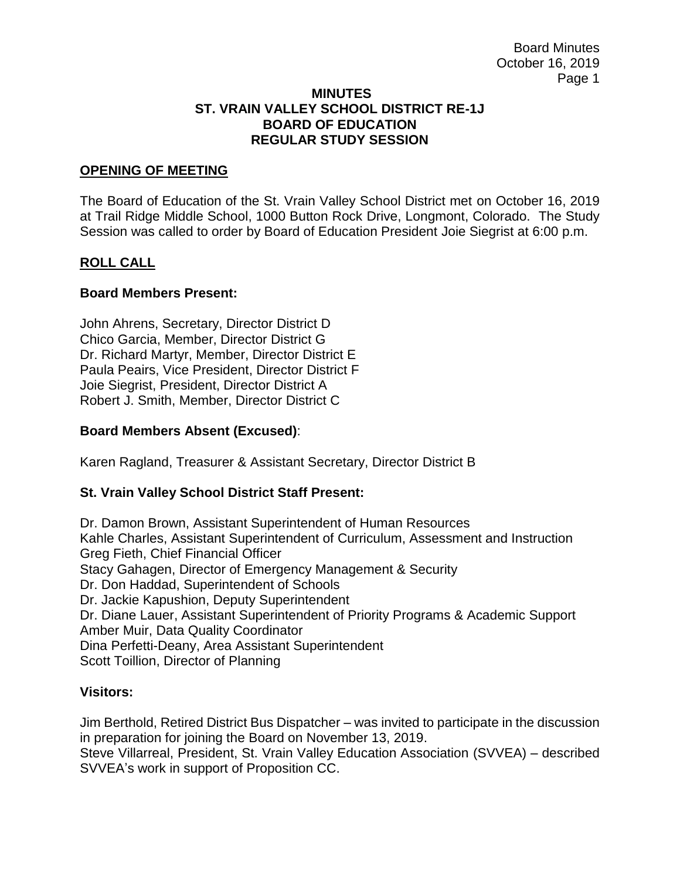#### **MINUTES ST. VRAIN VALLEY SCHOOL DISTRICT RE-1J BOARD OF EDUCATION REGULAR STUDY SESSION**

## **OPENING OF MEETING**

The Board of Education of the St. Vrain Valley School District met on October 16, 2019 at Trail Ridge Middle School, 1000 Button Rock Drive, Longmont, Colorado. The Study Session was called to order by Board of Education President Joie Siegrist at 6:00 p.m.

### **ROLL CALL**

### **Board Members Present:**

John Ahrens, Secretary, Director District D Chico Garcia, Member, Director District G Dr. Richard Martyr, Member, Director District E Paula Peairs, Vice President, Director District F Joie Siegrist, President, Director District A Robert J. Smith, Member, Director District C

### **Board Members Absent (Excused)**:

Karen Ragland, Treasurer & Assistant Secretary, Director District B

## **St. Vrain Valley School District Staff Present:**

Dr. Damon Brown, Assistant Superintendent of Human Resources Kahle Charles, Assistant Superintendent of Curriculum, Assessment and Instruction Greg Fieth, Chief Financial Officer Stacy Gahagen, Director of Emergency Management & Security Dr. Don Haddad, Superintendent of Schools Dr. Jackie Kapushion, Deputy Superintendent Dr. Diane Lauer, Assistant Superintendent of Priority Programs & Academic Support Amber Muir, Data Quality Coordinator Dina Perfetti-Deany, Area Assistant Superintendent Scott Toillion, Director of Planning

## **Visitors:**

Jim Berthold, Retired District Bus Dispatcher – was invited to participate in the discussion in preparation for joining the Board on November 13, 2019.

Steve Villarreal, President, St. Vrain Valley Education Association (SVVEA) – described SVVEA's work in support of Proposition CC.